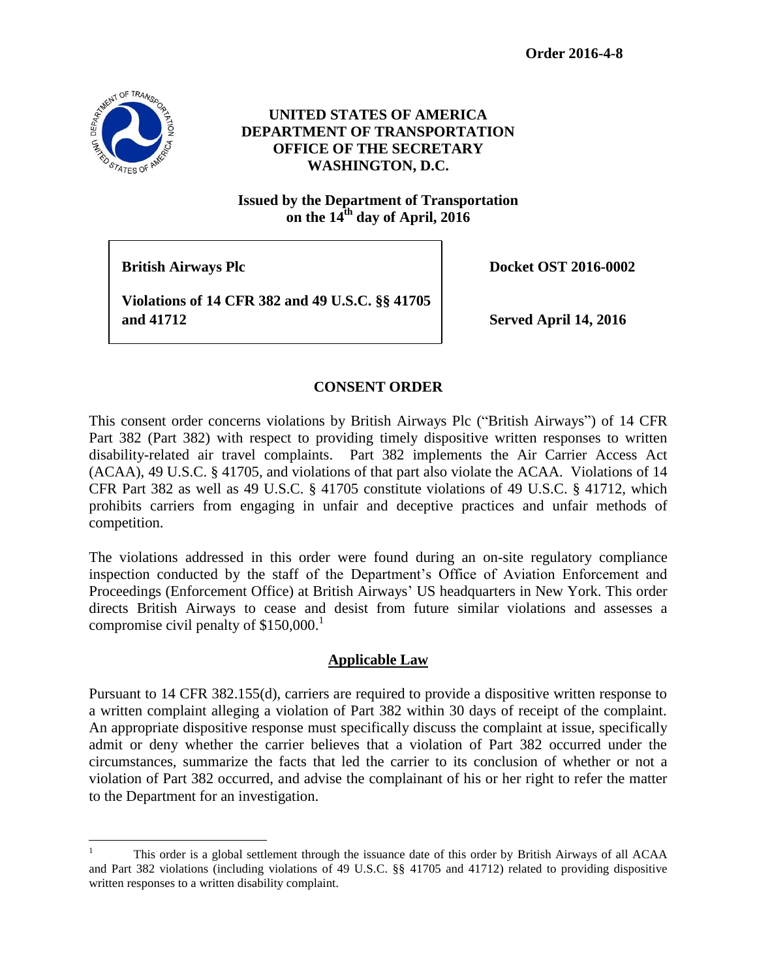

# **UNITED STATES OF AMERICA DEPARTMENT OF TRANSPORTATION OFFICE OF THE SECRETARY WASHINGTON, D.C.**

**Issued by the Department of Transportation** on the  $14^{\text{th}}$  day of April,  $2016$ 

**British Airways Plc Docket OST 2016-0002** 

**Violations of 14 CFR 382 and 49 U.S.C. §§ 41705 and 41712 Served April 14, 2016** 

# **CONSENT ORDER**

This consent order concerns violations by British Airways Plc ("British Airways") of 14 CFR Part 382 (Part 382) with respect to providing timely dispositive written responses to written disability-related air travel complaints. Part 382 implements the Air Carrier Access Act (ACAA), 49 U.S.C. § 41705, and violations of that part also violate the ACAA. Violations of 14 CFR Part 382 as well as 49 U.S.C. § 41705 constitute violations of 49 U.S.C. § 41712, which prohibits carriers from engaging in unfair and deceptive practices and unfair methods of competition.

The violations addressed in this order were found during an on-site regulatory compliance inspection conducted by the staff of the Department's Office of Aviation Enforcement and Proceedings (Enforcement Office) at British Airways' US headquarters in New York. This order directs British Airways to cease and desist from future similar violations and assesses a compromise civil penalty of \$150,000. 1

### **Applicable Law**

Pursuant to 14 CFR 382.155(d), carriers are required to provide a dispositive written response to a written complaint alleging a violation of Part 382 within 30 days of receipt of the complaint. An appropriate dispositive response must specifically discuss the complaint at issue, specifically admit or deny whether the carrier believes that a violation of Part 382 occurred under the circumstances, summarize the facts that led the carrier to its conclusion of whether or not a violation of Part 382 occurred, and advise the complainant of his or her right to refer the matter to the Department for an investigation.

 $\mathbf{1}$ <sup>1</sup> This order is a global settlement through the issuance date of this order by British Airways of all ACAA and Part 382 violations (including violations of 49 U.S.C. §§ 41705 and 41712) related to providing dispositive written responses to a written disability complaint.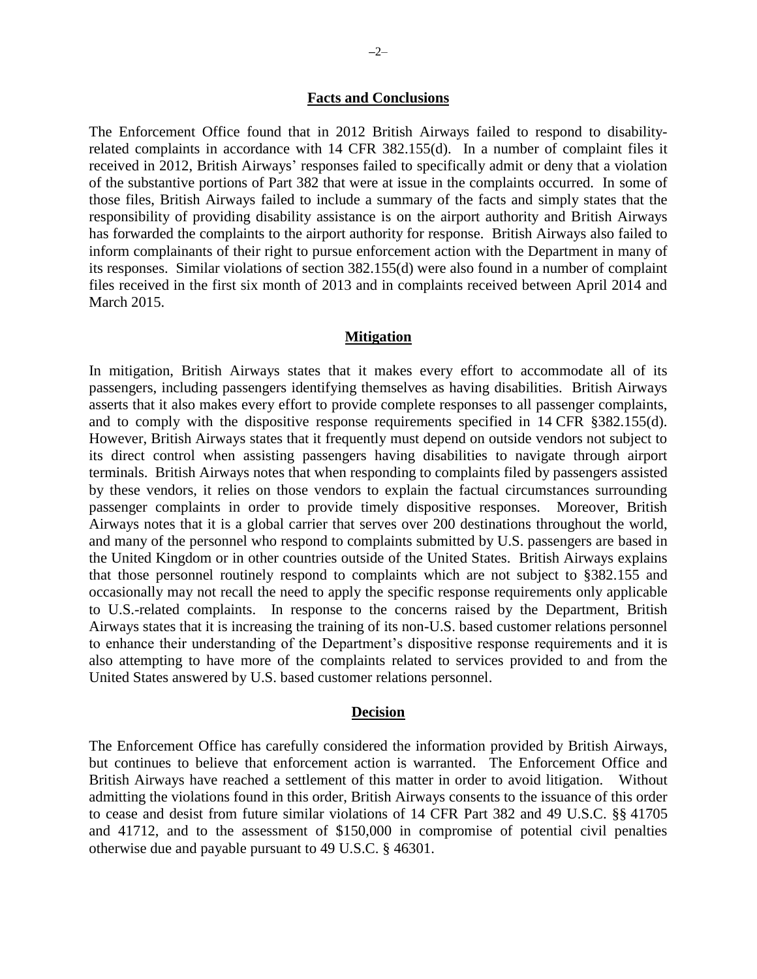#### **Facts and Conclusions**

The Enforcement Office found that in 2012 British Airways failed to respond to disabilityrelated complaints in accordance with 14 CFR 382.155(d). In a number of complaint files it received in 2012, British Airways' responses failed to specifically admit or deny that a violation of the substantive portions of Part 382 that were at issue in the complaints occurred. In some of those files, British Airways failed to include a summary of the facts and simply states that the responsibility of providing disability assistance is on the airport authority and British Airways has forwarded the complaints to the airport authority for response. British Airways also failed to inform complainants of their right to pursue enforcement action with the Department in many of its responses. Similar violations of section 382.155(d) were also found in a number of complaint files received in the first six month of 2013 and in complaints received between April 2014 and March 2015.

#### **Mitigation**

In mitigation, British Airways states that it makes every effort to accommodate all of its passengers, including passengers identifying themselves as having disabilities. British Airways asserts that it also makes every effort to provide complete responses to all passenger complaints, and to comply with the dispositive response requirements specified in 14 CFR §382.155(d). However, British Airways states that it frequently must depend on outside vendors not subject to its direct control when assisting passengers having disabilities to navigate through airport terminals. British Airways notes that when responding to complaints filed by passengers assisted by these vendors, it relies on those vendors to explain the factual circumstances surrounding passenger complaints in order to provide timely dispositive responses. Moreover, British Airways notes that it is a global carrier that serves over 200 destinations throughout the world, and many of the personnel who respond to complaints submitted by U.S. passengers are based in the United Kingdom or in other countries outside of the United States. British Airways explains that those personnel routinely respond to complaints which are not subject to §382.155 and occasionally may not recall the need to apply the specific response requirements only applicable to U.S.-related complaints. In response to the concerns raised by the Department, British Airways states that it is increasing the training of its non-U.S. based customer relations personnel to enhance their understanding of the Department's dispositive response requirements and it is also attempting to have more of the complaints related to services provided to and from the United States answered by U.S. based customer relations personnel.

#### **Decision**

The Enforcement Office has carefully considered the information provided by British Airways, but continues to believe that enforcement action is warranted. The Enforcement Office and British Airways have reached a settlement of this matter in order to avoid litigation. Without admitting the violations found in this order, British Airways consents to the issuance of this order to cease and desist from future similar violations of 14 CFR Part 382 and 49 U.S.C. §§ 41705 and 41712, and to the assessment of \$150,000 in compromise of potential civil penalties otherwise due and payable pursuant to 49 U.S.C. § 46301.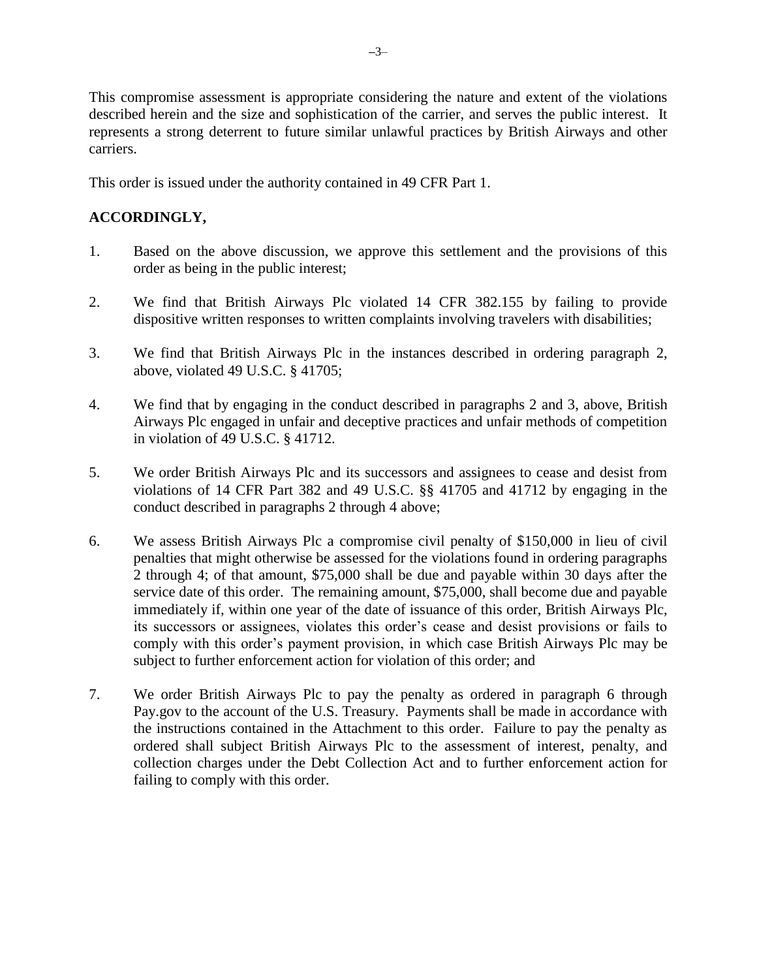This compromise assessment is appropriate considering the nature and extent of the violations described herein and the size and sophistication of the carrier, and serves the public interest. It represents a strong deterrent to future similar unlawful practices by British Airways and other carriers.

This order is issued under the authority contained in 49 CFR Part 1.

# **ACCORDINGLY,**

- 1. Based on the above discussion, we approve this settlement and the provisions of this order as being in the public interest;
- 2. We find that British Airways Plc violated 14 CFR 382.155 by failing to provide dispositive written responses to written complaints involving travelers with disabilities;
- 3. We find that British Airways Plc in the instances described in ordering paragraph 2, above, violated 49 U.S.C. § 41705;
- 4. We find that by engaging in the conduct described in paragraphs 2 and 3, above, British Airways Plc engaged in unfair and deceptive practices and unfair methods of competition in violation of 49 U.S.C. § 41712.
- 5. We order British Airways Plc and its successors and assignees to cease and desist from violations of 14 CFR Part 382 and 49 U.S.C. §§ 41705 and 41712 by engaging in the conduct described in paragraphs 2 through 4 above;
- 6. We assess British Airways Plc a compromise civil penalty of \$150,000 in lieu of civil penalties that might otherwise be assessed for the violations found in ordering paragraphs 2 through 4; of that amount, \$75,000 shall be due and payable within 30 days after the service date of this order. The remaining amount, \$75,000, shall become due and payable immediately if, within one year of the date of issuance of this order, British Airways Plc, its successors or assignees, violates this order's cease and desist provisions or fails to comply with this order's payment provision, in which case British Airways Plc may be subject to further enforcement action for violation of this order; and
- 7. We order British Airways Plc to pay the penalty as ordered in paragraph 6 through Pay.gov to the account of the U.S. Treasury. Payments shall be made in accordance with the instructions contained in the Attachment to this order. Failure to pay the penalty as ordered shall subject British Airways Plc to the assessment of interest, penalty, and collection charges under the Debt Collection Act and to further enforcement action for failing to comply with this order.